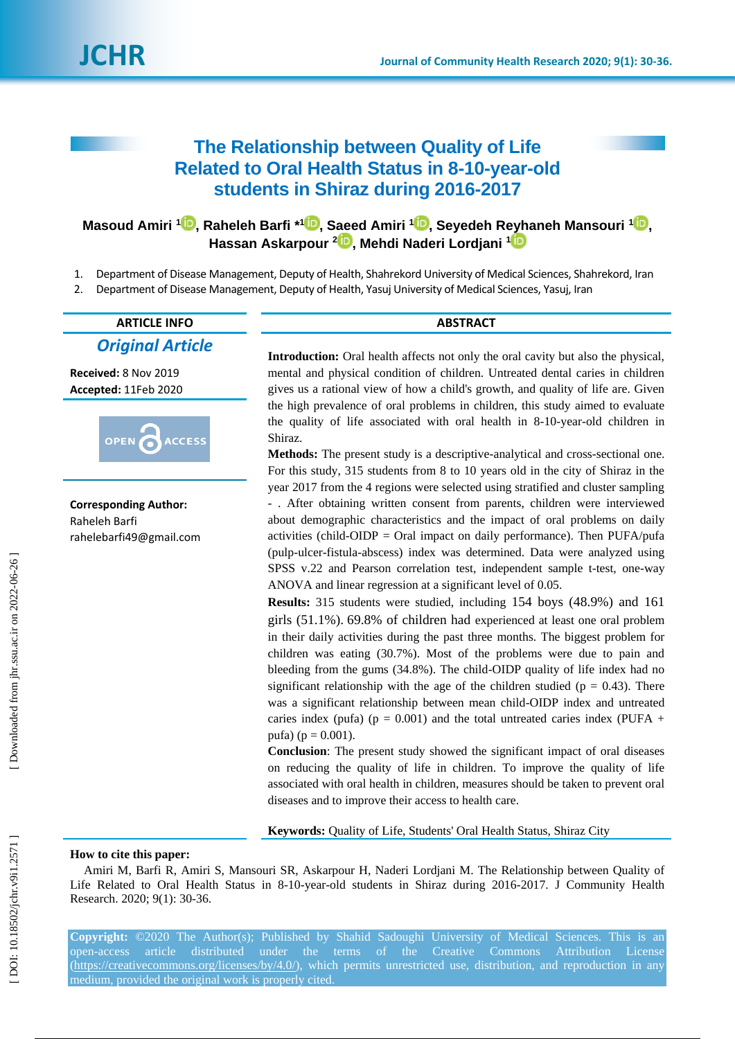# **The Relationship between Quality of Life Related to Oral Health Status in 8 -10 -year -old students in Shiraz during 2016 -2017**

**Masoud Amiri 1 [,](https://orcid.org/0000-0002-0275-0820) Raheleh Barfi \* 1 [,](https://orcid.org/0000-0001-5206-9446) Saeed Amiri 1 [,](https://orcid.org/0000-0002-0077-4298) Seyedeh Reyhaneh Mansouri [1](https://orcid.org/0000-0002-6020-0878) , Hassan Askarpour 2 [,](https://orcid.org/0000-0002-2621-1311) Mehdi Naderi Lordjani [1](https://orcid.org/0000-0002-0104-9717)**

- 1 . Department of Disease Management, Deputy of Health, Shahrekord University of Medical Sciences, Shahrekord, Iran
- 2 . Department of Disease Management, Deputy of Health, Yasuj University of Medical Sciences, Yasuj, Iran

# **ARTICLE INFO ABSTRACT**

*Original Article*

**Received:** 8 Nov 201 9 **Accepted:** 11Feb 2020



**Corresponding Author:** Raheleh Barfi rahelebarfi49@gmail.com

**Introduction:** Oral health affects not only the oral cavity but also the physical, mental and physical condition of children. Untreated dental caries in children gives us a rational view of how a child's growth, and quality of life are. Given the high prevalence of oral problems in children, this study aimed to evaluate the quality of life associated with oral health in 8 -10 -year -old children in Shiraz.

**Methods:** The present study is a descriptive -analytical and cross -sectional one. For this study, 315 students from 8 to 10 years old in the city of Shiraz in the year 2017 from the 4 regions were selected using stratified and cluster sampling - . After obtaining written consent from parents, children were interviewed about demographic characteristics and the impact of oral problems on daily activities (child -OIDP = Oral impact on daily performance). Then PUFA/pufa (pulp -ulcer -fistula -abscess) index was determined. Data were analyzed using SPSS v.22 and Pearson correlation test, independent sample t-test, one-way ANOVA and linear regression at a significant level of 0.05.

**Results:** 315 students were studied, including 154 boys (48.9%) and 161 girls (51.1%) . 69.8% of children had experienced at least one oral problem in their daily activities during the past three months. The biggest problem for children was eating (30.7%). Most of the problems were due to pain and bleeding from the gums (34.8%). The child -OIDP quality of life index had no significant relationship with the age of the children studied ( $p = 0.43$ ). There was a significant relationship between mean child -OIDP index and untreated caries index (pufa) ( $p = 0.001$ ) and the total untreated caries index (PUFA + pufa) ( $p = 0.001$ ).

**Conclusion**: The present study showed the significant impact of oral diseases on reducing the quality of life in children. To improve the quality of life associated with oral health in children, measures should be taken to prevent oral diseases and to improve their access to health care.

**Keywords:** Quality of Life, Students' Oral Health Status, Shiraz City

### **How to cite this paper:**

Amiri M, Barfi R, Amiri S, Mansouri SR, Askarpour H, Naderi Lordjani M. The Relationship between Quality of Life Related to Oral Health Status in 8-10-year-old students in Shiraz during 2016-2017. J Community Health Research. 2020; 9(1): 30-36.

Copyright: ©2020 The Author(s); Published by Shahid Sadoughi University of Medical Sciences. This is an open-access article distributed under the terms of the Creative Commons Attribution License [\(https://creativecommons.org/licenses/by/4.0/\)](https://creativecommons.org/licenses/by/4.0/), which permits unrestricted use, distribution, and reproduction in any medium, provided the original work is properly cited.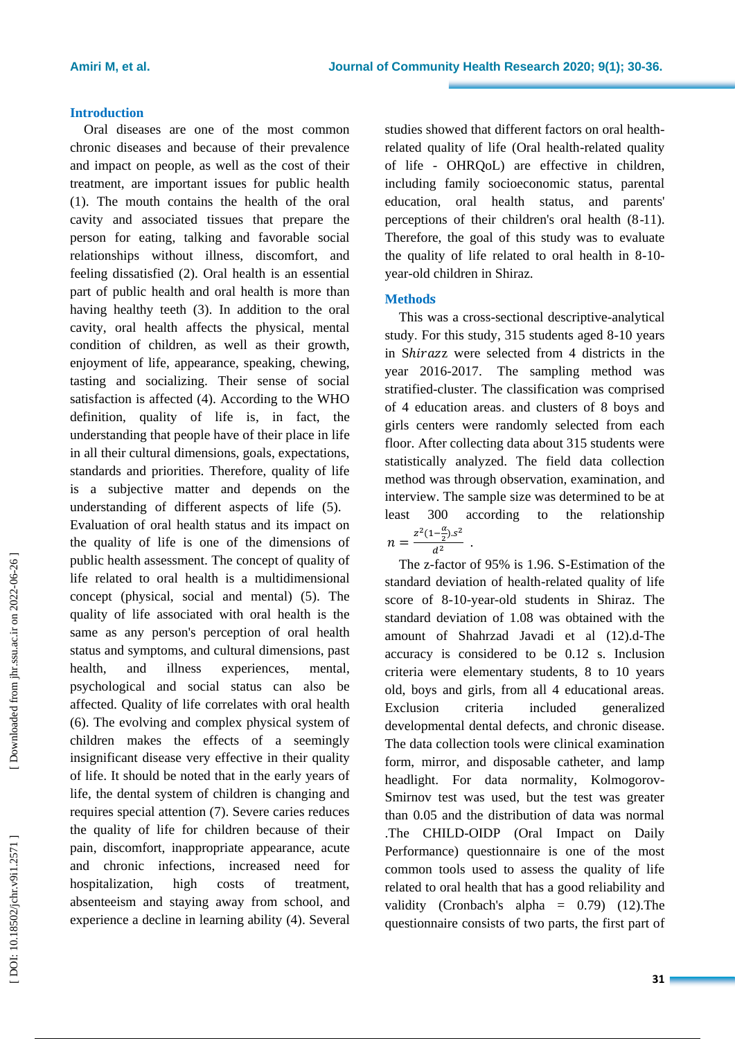#### **Introduction**

Oral diseases are one of the most common chronic diseases and because of their prevalence and impact on people, as well as the cost of their treatment, are important issues for public health (1). The mouth contains the health of the oral cavity and associated tissues that prepare the person for eating, talking and favorable social relationships without illness, discomfort, and feeling dissatisfied (2). Oral health is an essential part of public health and oral health is more than having healthy teeth (3). In addition to the oral cavity, oral health affects the physical, mental condition of children, as well as their growth, enjoyment of life, appearance, speaking, chewing, tasting and socializing. Their sense of social satisfaction is affected (4). According to the WHO definition, quality of life is, in fact, the understanding that people have of their place in life in all their cultural dimensions, goals, expectations, standards and priorities. Therefore, quality of life is a subjective matter and depends on the understanding of different aspects of life (5). Evaluation of oral health status and its impact on the quality of life is one of the dimensions of public health assessment. The concept of quality of life related to oral health is a multidimensional concept (physical, social and mental) (5). The quality of life associated with oral health is the same as any person's perception of oral health status and symptoms, and cultural dimensions, past health , and illness experiences, mental, psychological and social status can also be affected. Quality of life correlates with oral health (6). The evolving and complex physical system of children makes the effects of a seemingly insignificant disease very effective in their quality of life. It should be noted that in the early years of life, the dental system of children is changing and requires special attention (7). Severe caries reduces the quality of life for children because of their pain, discomfort, inappropriate appearance, acute and chronic infections, increased need for hospitalization, high costs of treatment,

absenteeism and staying away from school, and experience a decline in learning ability (4). Several

studies showed that different factors on oral health related quality of life (Oral health -related quality of life - OHRQoL) are effective in children, including family socioeconomic status, parental education, oral health status , and parents' perceptions of their children's oral health (8 -11). Therefore, the goal of this study was to evaluate the quality of life related to oral health in 8-10year -old children in Shiraz.

# **Method**

This was a cross -sectional descriptive -analytical study . For this study, 315 students aged 8 -10 years in Shirazz were selected from 4 districts in the year 2016 -2017. The sampling method was stratified -cluster. The classification was comprised of 4 education areas . and clusters of 8 boys and girls centers were randomly selected from each floor. After collecting data about 315 students were statistically analyzed. The field data collection method was through observation, examination , and interview. The sample size was determined to be at least 300 according to the relationship  $n = \frac{z^2(1-\frac{a}{2}).s^2}{d^2}$ 

The z -factor of 95% is 1.96. S -Estimation of the standard deviation of health -related quality of life score of 8 -10 -year -old students in Shiraz. The standard deviation of 1.08 was obtained with the amount of Shahrzad Javadi et al (12). d -The accuracy is considered to be 0.12 s. Inclusion criteria were elementary students, 8 to 10 years old, boys and girls, from all 4 educational areas. Exclusion criteria included generalized developmental dental defects, and chronic disease. The data collection tools were clinical examination form, mirror , and disposable catheter, and lamp headlight. For data normality, Kolmogorov - Smirnov test was used, but the test was greater than 0.05 and the distribution of data was normal .The CHILD-OIDP (Oral Impact on Daily Performance) questionnaire is one of the most common tools used to assess the quality of life related to oral health that has a good reliability and validity (Cronbach's alpha  $= 0.79$ ) (12). The questionnaire consists of two parts, the first part of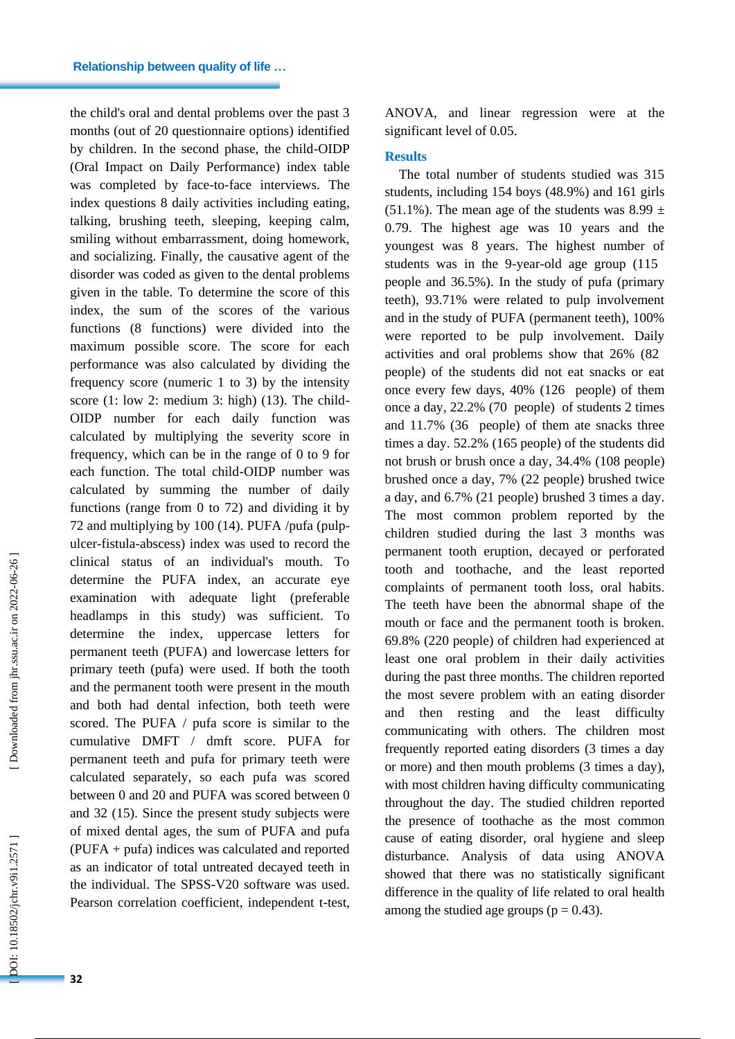the child's oral and dental problems over the past 3 months (out of 20 questionnaire options) identified by children. In the second phase, the child -OIDP (Oral Impact on Daily Performance) index table was completed by face -to -face interview s. The index questions 8 daily activities including eating, talking, brushing teeth, sleeping, keeping calm, smiling without embarrassment, doing homework, and socializing. Finally, the causative agent of the disorder was coded as given to the dental problems given in the table. To determine the score of this index, the sum of the scores of the various functions (8 functions) were divided into the maximum possible score. The score for each performance was also calculated by dividing the frequency score (numeric 1 to 3) by the intensity score (1: low 2: medium 3: high) (13). The child-OIDP number for each daily function was calculated by multiplying the severity score in frequency, which can be in the range of 0 to 9 for each function. The total child -OIDP number was calculated by summing the number of daily functions (range from 0 to 72) and dividing it by 72 and multiplying by 100 (14). PUFA /pufa (pulp ulcer -fistula -abscess) index was used to record the clinical status of an individual's mouth. To determine the PUFA index, an accurate eye examination with adequate light (preferable headlamps in this study) was sufficient. To determine the index, uppercase letters for permanent teeth (PUFA) and lowercase letters for primary teeth (pufa) were used. If both the tooth and the permanent tooth were present in the mouth and both had dental infection, both teeth were scored. The PUFA / pufa score is similar to the cumulative DMFT / dmft score. PUFA for permanent teeth and pufa for primary teeth were calculated separately, so each pufa was scored between 0 and 20 and PUFA was scored between 0 and 32 (15). Since the present study subjects were of mixed dental ages, the sum of PUFA and pufa (PUFA + pufa) indices was calculated and reported as an indicator of total untreated decayed teeth in the individual. The SPSS -V20 software was used. Pearson correlation coefficient, independent t -test, ANOVA , and linear regression were at the significant level of 0.05 .

#### **Results**

The total number of students studied was 315 students, including 154 boys (48.9%) and 161 girls (51.1%). The mean age of the students was 8.99  $\pm$ 0.79. The highest age was 10 years and the youngest was 8 years. The highest number of students was in the 9 -year -old age group (115 people and 36.5%). In the study of pufa (primary teeth), 93.71% were related to pulp involvement and in the study of PUFA (permanent teeth), 100% were reported to be pulp involvement. Daily activities and oral problems show that 26% (82 people ) of the students did not eat snacks or eat once every few days, 40% (126 people) of them once a day, 22.2% (70 people) of students 2 times and 11.7% (36 people) of them ate snacks three times a day. 52.2% (165 people) of the students did not brush or brush once a day, 34.4% (108 people) brushed once a day, 7% (22 people) brushed twice a day, and 6.7% (21 people) brushed 3 times a day. The most common problem reported by the children studied during the last 3 months was permanent tooth eruption, decayed or perforated tooth and toothache, and the least reported complaints of permanent tooth loss, oral habits . The teeth have been the abnormal shape of the mouth or face and the permanent tooth is broken. 69.8% (220 people) of children had experienced at least one oral problem in their daily activities during the past three months. The children reported the most severe problem with an eating disorder and then resting and the least difficulty communicating with others. The children most frequently reported eating disorders (3 times a day or more) and then mouth problems (3 times a day), with most children having difficulty communicating throughout the day. The studied children reported the presence of toothache as the most common cause of eating disorder, oral hygiene and sleep disturbance. Analysis of data using ANOVA showed that there was no statistically significant difference in the quality of life related to oral health among the studied age groups ( $p = 0.43$ ).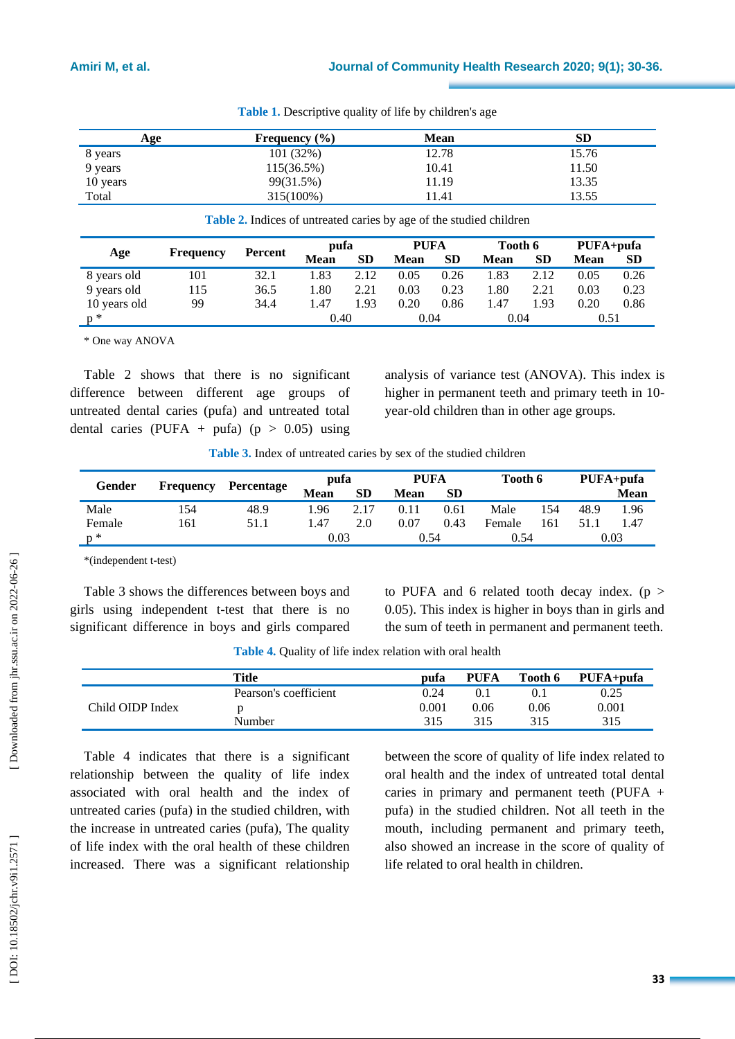| Age      | Frequency $(\% )$ | <b>Mean</b> | SD.   |
|----------|-------------------|-------------|-------|
| 8 years  | 101(32%)          | 12.78       | 15.76 |
| 9 years  | $115(36.5\%)$     | 10.41       | 11.50 |
| 10 years | 99(31.5%)         | 11.19       | 13.35 |
| Total    | 315(100%)         | 11.41       | 13.55 |

**Table 1 .** Descriptive quality of life by children's age

**Table 2 .** Indices of untreated caries by age of the studied children

| Age          | Frequency | Percent | pufa        |           | <b>PUFA</b> |           | Tooth 6     |      | PUFA+pufa |           |
|--------------|-----------|---------|-------------|-----------|-------------|-----------|-------------|------|-----------|-----------|
|              |           |         | <b>Mean</b> | <b>SD</b> | Mean        | <b>SD</b> | <b>Mean</b> | SD   | Mean      | <b>SD</b> |
| 8 years old  | 101       | 32.1    | .83         | 2.12      | 0.05        | 0.26      | 1.83        | 2.12 | 0.05      | 0.26      |
| 9 years old  | 15        | 36.5    | .80         | 2.21      | 0.03        | 0.23      | 1.80        | 2.21 | 0.03      | 0.23      |
| 10 years old | 99        | 34.4    | .47         | 1.93      | 0.20        | 0.86      | 1.47        | 1.93 | 0.20      | 0.86      |
| $p^*$        |           |         | 0.40        |           | 0.04        |           | 0.04        |      | 0.51      |           |

\* One way ANOVA

Table 2 shows that there is no significant difference between different age groups of untreated dental caries (pufa) and untreated total dental caries (PUFA + pufa)  $(p > 0.05)$  using analysis of variance test (ANOVA) . This index is higher in permanent teeth and primary teeth in 10 year -old children than in other age groups.

**Table 3 .** Index of untreated caries by sex of the studied children

| Gender |                  |            | pufa        |           | <b>PUFA</b> |           | Tooth 6 |     | PUFA+pufa |             |
|--------|------------------|------------|-------------|-----------|-------------|-----------|---------|-----|-----------|-------------|
|        | <b>Frequency</b> | Percentage | <b>Mean</b> | <b>SD</b> | Mean        | <b>SD</b> |         |     |           | <b>Mean</b> |
| Male   | 154              | 48.9       | l.96        | 2.17      | 0.11        | 0.61      | Male    | 154 | 48.9      | 1.96        |
| Female | 161              | 51.1       | 47. ا       | 2.0       | 0.07        | 0.43      | Female  | 161 | 51.       | 1.47        |
| $n *$  |                  |            | 0.03        |           | 0.54        |           | 0.54    |     | 0.03      |             |

\*(independent t-test)

Table 3 shows the differences between boys and girls using independent t -test that there is no significant difference in boys and girls compared

to PUFA and 6 related tooth decay index.  $(p >$ 0.05). This index is higher in boys than in girls and the sum of teeth in permanent and permanent teeth.

**Table 4 .** Quality of life index relation with oral health

|                  | Title                 | pufa  | <b>PUFA</b> | Tooth 6 | PUFA+pufa |
|------------------|-----------------------|-------|-------------|---------|-----------|
| Child OIDP Index | Pearson's coefficient | 0.24  |             |         | 0.25      |
|                  |                       | 0.001 | 0.06        | 0.06    | 0.001     |
|                  | Number                | 315   | 315         | 315     | 315       |

Table 4 indicates that there is a significant relationship between the quality of life index associated with oral health and the index of untreated caries (pufa) in the studied children, with the increase in untreated caries (pufa), The quality of life index with the oral health of these children increased. There was a significant relationship between the score of quality of life index related to oral health and the index of untreated total dental caries in primary and permanent teeth (PUFA + pufa) in the studied children. Not all teeth in the mouth, including permanent and primary teeth, also showed an increase in the score of quality of life related to oral health in children.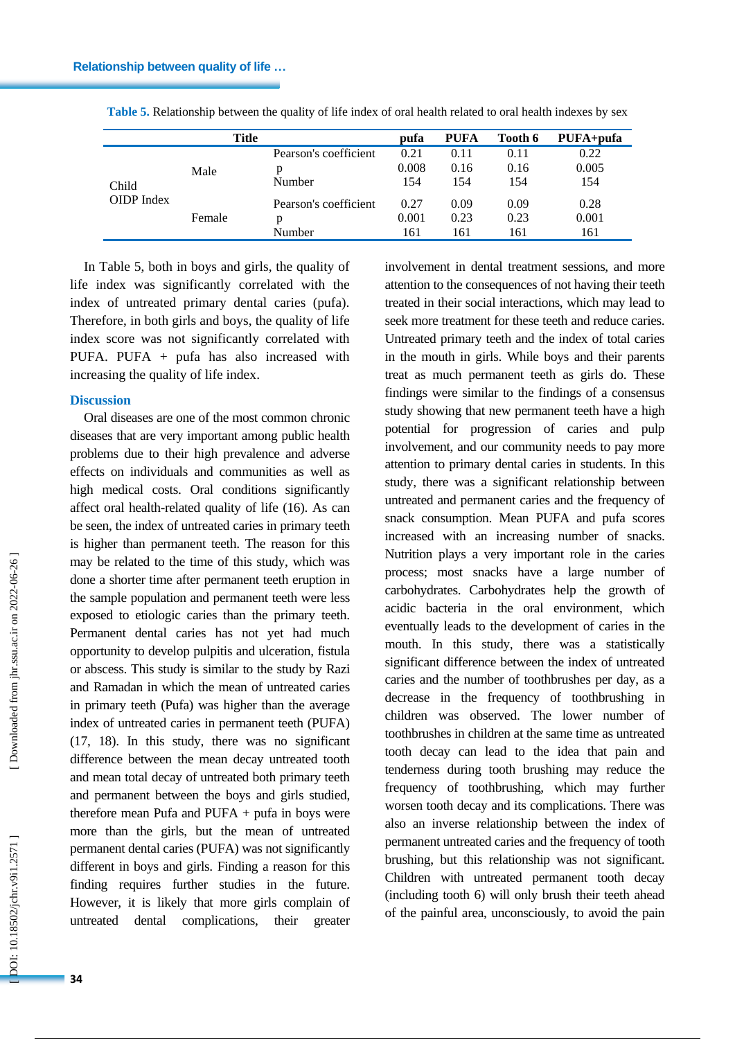|                     | <b>Title</b> |                       | pufa  | <b>PUFA</b> | Tooth 6 | PUFA+pufa |
|---------------------|--------------|-----------------------|-------|-------------|---------|-----------|
| Child<br>OIDP Index | Male         | Pearson's coefficient | 0.21  | 0.11        | 0.11    | 0.22      |
|                     |              | p                     | 0.008 | 0.16        | 0.16    | 0.005     |
|                     |              | Number                | 154   | 154         | 154     | 154       |
|                     | Female       | Pearson's coefficient | 0.27  | 0.09        | 0.09    | 0.28      |
|                     |              | p                     | 0.001 | 0.23        | 0.23    | 0.001     |
|                     |              | Number                | 161   | 161         | 161     | 161       |

**Table 5 .** Relationship between the quality of life index of oral health related to oral health indexes by sex

In Table 5, both in boys and girls, the quality of life index was significantly correlated with the index of untreated primary dental caries (pufa). Therefore, in both girls and boys, the quality of life index score was not significantly correlated with PUFA. PUFA + pufa has also increased with increasing the quality of life index.

# **Discussion**

Oral diseases are one of the most common chronic diseases that are very important among public health problems due to their high prevalence and adverse effects on individuals and communities as well as high medical costs. Oral conditions significantly affect oral health -related quality of life (16). As can be seen, the index of untreated caries in primary teeth is higher than permanent teeth. The reason for this may be related to the time of this study, which was done a shorter time after permanent teeth eruption in the sample population and permanent teeth were less exposed to etiologic caries than the primary teeth. Permanent dental caries has not yet had much opportunity to develop pulpitis and ulceration, fistula or abscess. This study is similar to the study by Razi and Ramadan in which the mean of untreated caries in primary teeth (Pufa) was higher than the average index of untreated caries in permanent teeth (PUFA) (17, 18). In this study, there was no significant difference between the mean decay untreated tooth and mean total decay of untreated both primary teeth and permanent between the boys and girls studied, therefore mean Pufa and PUFA + pufa in boys were more than the girls, but the mean of untreated permanent dental caries (PUFA) was not significantly different in boys and girls. Finding a reason for this finding requires further studies in the future. However, it is likely that more girls complain of untreated dental complications, their greater

attention to the consequences of not having their teeth treated in their social interactions, which may lead to seek more treatment for these teeth and reduce caries. Untreated primary teeth and the index of total caries in the mouth in girls. While boys and their parents treat as much permanent teeth as girls do. These findings were similar to the findings of a consensus study showing that new permanent teeth have a high potential for progression of caries and pulp involvement, and our community needs to pay more attention to primary dental caries in students. In this study, there was a significant relationship between untreated and permanent caries and the frequency of snack consumption. Mean PUFA and pufa scores increased with an increasing number of snacks. Nutrition plays a very important role in the caries process; most snacks have a large number of carbohydrates. Carbohydrates help the growth of acidic bacteria in the oral environment, which eventually leads to the development of caries in the mouth. In this study, there was a statistically significant difference between the index of untreated caries and the number of toothbrushes per day, as a decrease in the frequency of toothbrushing in children was observed. The lower number of toothbrushes in children at the same time as untreated tooth decay can lead to the idea that pain and tenderness during tooth brushing may reduce the frequency of toothbrushing, which may further worsen tooth decay and its complications. There was also an inverse relationship between the index of permanent untreated caries and the frequency of tooth brushing, but this relationship was not significant. Children with untreated permanent tooth decay (including tooth 6) will only brush their teeth ahead of the painful area, unconsciously, to avoid the pain

involvement in dental treatment sessions, and more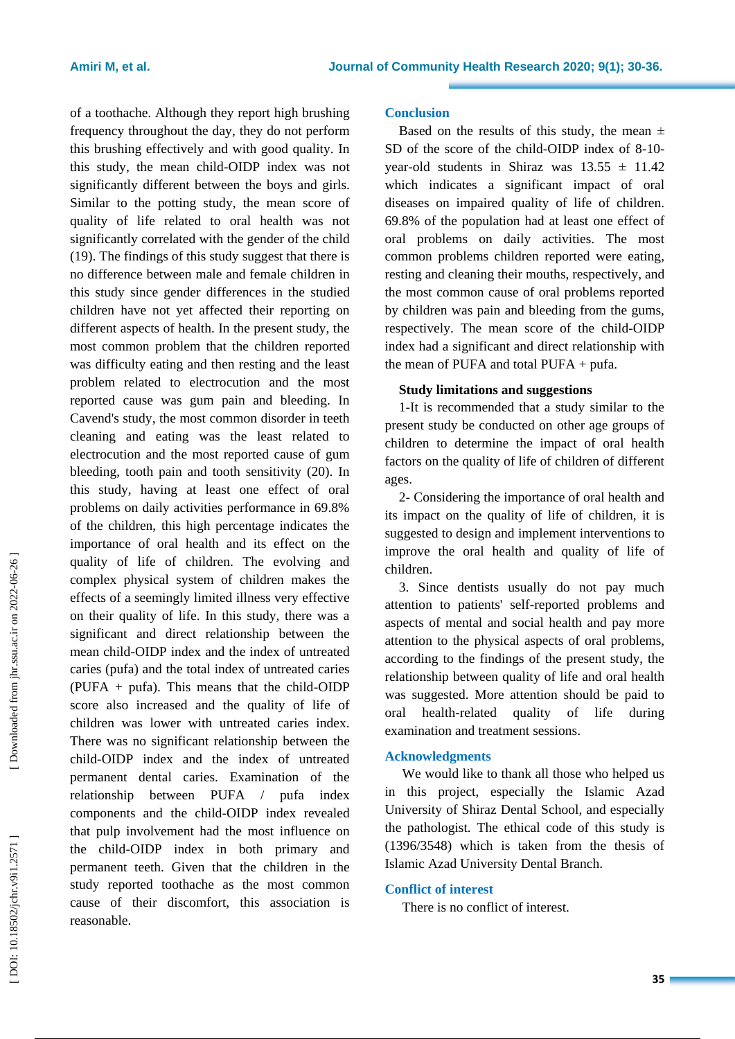of a toothache. Although they report high brushing frequency throughout the day, they do not perform this brushing effectively and with good quality. In this study, the mean child -OIDP index was not significantly different between the boys and girls. Similar to the potting study, the mean score of quality of life related to oral health was not significantly correlated with the gender of the child (19). The findings of this study suggest that there is no difference between male and female children in this study since gender differences in the studied children have not yet affected their reporting on different aspects of health. In the present study, the most common problem that the children reported was difficulty eating and then resting and the least problem related to electrocution and the most reported cause was gum pain and bleeding. In Cavend's study, the most common disorder in teeth cleaning and eating was the least related to electrocution and the most reported cause of gum bleeding, tooth pain and tooth sensitivity (20). In this study, having at least one effect of oral problems on daily activities performance in 69.8% of the children, this high percentage indicates the importance of oral health and its effect on the quality of life of children. The evolving and complex physical system of children makes the effects of a seemingly limited illness very effective on their quality of life. In this study, there was a significant and direct relationship between the mean child -OIDP index and the index of untreated caries (pufa) and the total index of untreated caries (PUFA + pufa). This means that the child -OIDP score also increased and the quality of life of children was lower with untreated caries index. There was no significant relationship between the child -OIDP index and the index of untreated permanent dental caries. Examination of the relationship between PUFA / pufa index components and the child -OIDP index revealed that pulp involvement had the most influence on the child -OIDP index in both primary and permanent teeth. Given that the children in the study reported toothache as the most common cause of their discomfort, this association is reasonable.

#### **Conclusion**

Based on the results of this study, the mean  $\pm$ SD of the score of the child-OIDP index of 8-10year-old students in Shiraz was  $13.55 \pm 11.42$ which indicates a significant impact of oral diseases on impaired quality of life of children. 69.8% of the population had at least one effect of oral problems on daily activities. The most common problems children reported were eating, resting and cleaning their mouths, respectively, and the most common cause of oral problems reported by children was pain and bleeding from the gums, respectively. The mean score of the child -OIDP index had a significant and direct relationship with the mean of PUFA and total PUFA + pufa.

#### **Study limitations and suggestions**

1-It is recommended that a study similar to the present study be conducted on other age groups of children to determine the impact of oral health factors on the quality of life of children of different ages.

2- Considering the importance of oral health and its impact on the quality of life of children, it is suggested to design and implement interventions to improve the oral health and quality of life of children.

3. Since dentists usually do not pay much attention to patients' self -reported problems and aspects of mental and social health and pay more attention to the physical aspects of oral problems, according to the findings of the present study, the relationship between quality of life and oral health was suggested. More attention should be paid to oral health -related quality of life during examination and treatment sessions.

#### **Acknowledgments**

We would like to thank all those who helped us in this project, especially the Islamic Azad University of Shiraz Dental School, and especially the pathologist. The ethical code of this study is (1396/3548) which is taken from the thesis of Islamic Azad University Dental Branch.

#### **Conflict of interest**

There is no conflict of interest.